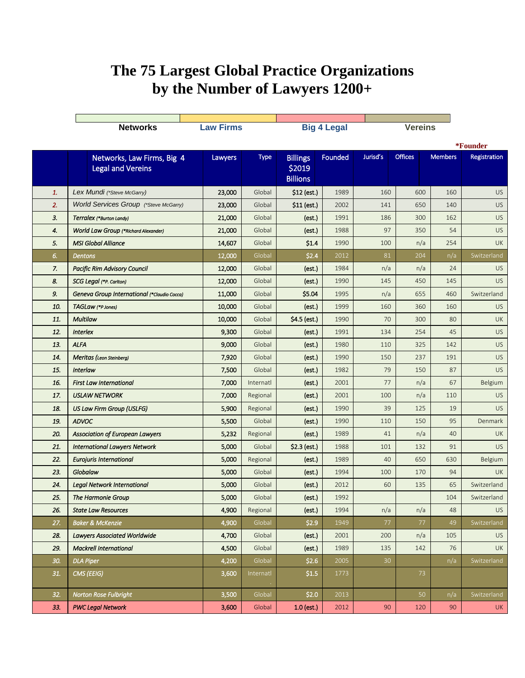## **The 75 Largest Global Practice Organizations by the Number of Lawyers 1200+**

|     | <b>Networks</b>                              | <b>Law Firms</b> |           |                 | <b>Big 4 Legal</b> |          | <b>Vereins</b> |                |              |
|-----|----------------------------------------------|------------------|-----------|-----------------|--------------------|----------|----------------|----------------|--------------|
|     |                                              |                  |           |                 |                    |          | *Founder       |                |              |
|     | Networks, Law Firms, Big 4                   | Lawyers          | Type      | <b>Billings</b> | Founded            | Jurisd's | <b>Offices</b> | <b>Members</b> | Registration |
|     | <b>Legal and Vereins</b>                     |                  |           | \$2019          |                    |          |                |                |              |
|     |                                              |                  |           | <b>Billions</b> |                    |          |                |                |              |
| 1.  | Lex Mundi (*Steve McGarry)                   | 23,000           | Global    | $$12$ (est.)    | 1989               | 160      | 600            | 160            | <b>US</b>    |
| 2.  | <b>World Services Group</b> (*Steve McGarry) | 23,000           | Global    | \$11 (est.)     | 2002               | 141      | 650            | 140            | <b>US</b>    |
| 3.  | Terralex (*Burton Landy)                     | 21,000           | Global    | (est.)          | 1991               | 186      | 300            | 162            | <b>US</b>    |
| 4.  | <b>World Law Group (*Richard Alexander)</b>  | 21,000           | Global    | (est.)          | 1988               | 97       | 350            | 54             | <b>US</b>    |
| 5.  | <b>MSI Global Alliance</b>                   | 14,607           | Global    | \$1.4           | 1990               | 100      | n/a            | 254            | <b>UK</b>    |
| 6.  | <b>Dentons</b>                               | 12,000           | Global    | \$2.4           | 2012               | 81       | 204            | n/a            | Switzerland  |
| 7.  | <b>Pacific Rim Advisory Council</b>          | 12,000           | Global    | (est.)          | 1984               | n/a      | n/a            | 24             | US.          |
| 8.  | SCG Legal (*P. Carlton)                      | 12,000           | Global    | (est.)          | 1990               | 145      | 450            | 145            | US.          |
| 9.  | Geneva Group International (*Claudio Cocca)  | 11,000           | Global    | \$5.04          | 1995               | n/a      | 655            | 460            | Switzerland  |
| 10. | TAGLaw (*P Jones)                            | 10,000           | Global    | (est.)          | 1999               | 160      | 360            | 160            | US.          |
| 11. | <b>Multilaw</b>                              | 10,000           | Global    | \$4.5 (est.)    | 1990               | 70       | 300            | 80             | <b>UK</b>    |
| 12. | <b>Interlex</b>                              | 9,300            | Global    | (est.)          | 1991               | 134      | 254            | 45             | US.          |
| 13. | <b>ALFA</b>                                  | 9,000            | Global    | (est.)          | 1980               | 110      | 325            | 142            | US.          |
| 14. | Meritas (Leon Steinberg)                     | 7,920            | Global    | (est.)          | 1990               | 150      | 237            | 191            | US           |
| 15. | <b>Interlaw</b>                              | 7,500            | Global    | (est.)          | 1982               | 79       | 150            | 87             | <b>US</b>    |
| 16. | <b>First Law International</b>               | 7,000            | Internatl | (est.)          | 2001               | 77       | n/a            | 67             | Belgium      |
| 17. | <b>USLAW NETWORK</b>                         | 7,000            | Regional  | (est.)          | 2001               | 100      | n/a            | 110            | US.          |
| 18. | US Law Firm Group (USLFG)                    | 5,900            | Regional  | (est.)          | 1990               | 39       | 125            | 19             | US.          |
| 19. | <b>ADVOC</b>                                 | 5,500            | Global    | (est.)          | 1990               | 110      | 150            | 95             | Denmark      |
| 20. | <b>Association of European Lawyers</b>       | 5,232            | Regional  | (est.)          | 1989               | 41       | n/a            | 40             | <b>UK</b>    |
| 21. | <b>International Lawyers Network</b>         | 5,000            | Global    | \$2.3 (est.)    | 1988               | 101      | 132            | 91             | <b>US</b>    |
| 22. | <b>Eurojuris International</b>               | 5,000            | Regional  | (est.)          | 1989               | 40       | 650            | 630            | Belgium      |
| 23. | Globalaw                                     | 5,000            | Global    | (est.)          | 1994               | 100      | 170            | 94             | <b>UK</b>    |
| 24. | <b>Legal Network International</b>           | 5,000            | Global    | (est.)          | 2012               | 60       | 135            | 65             | Switzerland  |
| 25. | The Harmonie Group                           | 5,000            | Global    | (est.)          | 1992               |          |                | 104            | Switzerland  |
| 26. | <b>State Law Resources</b>                   | 4,900            | Regional  | (est.)          | 1994               | n/a      | n/a            | 48             | US           |
| 27. | <b>Baker &amp; McKenzie</b>                  | 4,900            | Global    | \$2.9           | 1949               | 77       | $77\,$         | 49             | Switzerland  |
| 28. | <b>Lawyers Associated Worldwide</b>          | 4,700            | Global    | (est.)          | 2001               | 200      | n/a            | 105            | US           |
| 29. | <b>Mackrell International</b>                | 4,500            | Global    | (est.)          | 1989               | 135      | 142            | 76             | <b>UK</b>    |
| 30. | <b>DLA Piper</b>                             | 4,200            | Global    | \$2.6           | 2005               | 30       |                | n/a            | Switzerland  |
| 31. | CMS (EEIG)                                   | 3,600            | Internatl | \$1.5           | 1773               |          | 73             |                |              |
| 32. | <b>Norton Rose Fulbright</b>                 | 3,500            | Global    | \$2.0           | 2013               |          | 50             | n/a            | Switzerland  |
| 33. | <b>PWC Legal Network</b>                     | 3,600            | Global    | $1.0$ (est.)    | 2012               | 90       | 120            | 90             | <b>UK</b>    |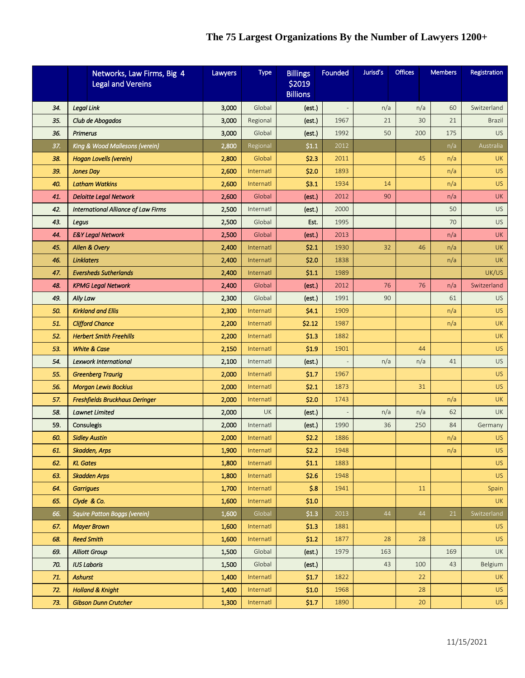## **The 75 Largest Organizations By the Number of Lawyers 1200+**

|            | Networks, Law Firms, Big 4<br><b>Legal and Vereins</b> | Lawyers        | <b>Type</b>            | <b>Billings</b><br>\$2019<br><b>Billions</b> | Founded                  | Jurisd's | <b>Offices</b> | <b>Members</b> | Registration  |
|------------|--------------------------------------------------------|----------------|------------------------|----------------------------------------------|--------------------------|----------|----------------|----------------|---------------|
| 34.        | <b>Legal Link</b>                                      | 3,000          | Global                 | (est.)                                       |                          | n/a      | n/a            | 60             | Switzerland   |
| 35.        | Club de Abogados                                       | 3,000          | Regional               | (est.)                                       | 1967                     | 21       | 30             | 21             | <b>Brazil</b> |
| 36.        | <b>Primerus</b>                                        | 3,000          | Global                 | (est.)                                       | 1992                     | 50       | 200            | 175            | <b>US</b>     |
| 37.        | King & Wood Mallesons (verein)                         | 2,800          | Regional               | \$1.1                                        | 2012                     |          |                | n/a            | Australia     |
| 38.        | <b>Hogan Lovells (verein)</b>                          | 2,800          | Global                 | \$2.3                                        | 2011                     |          | 45             | n/a            | <b>UK</b>     |
| 39.        | <b>Jones Dav</b>                                       | 2,600          | Internatl              | \$2.0                                        | 1893                     |          |                | n/a            | <b>US</b>     |
| 40.        | <b>Latham Watkins</b>                                  | 2,600          | Internatl              | \$3.1                                        | 1934                     | 14       |                | n/a            | <b>US</b>     |
| 41.        | <b>Deloitte Legal Network</b>                          | 2,600          | Global                 | (est.)                                       | 2012                     | 90       |                | n/a            | <b>UK</b>     |
| 42.        | <b>International Alliance of Law Firms</b>             | 2,500          | Internatl              | (est.)                                       | 2000                     |          |                | 50             | <b>US</b>     |
| 43.        | Legus                                                  | 2,500          | Global                 | Est.                                         | 1995                     |          |                | 70             | US.           |
| 44.        | <b>E&amp;Y Legal Network</b>                           | 2,500          | Global                 | (est.)                                       | 2013                     |          |                | n/a            | <b>UK</b>     |
| 45.        | Allen & Overy                                          | 2,400          | Internatl              | 52.1                                         | 1930                     | 32       | 46             | n/a            | <b>UK</b>     |
| 46.        | <b>Linklaters</b>                                      | 2,400          | Internatl              | \$2.0                                        | 1838                     |          |                | n/a            | <b>UK</b>     |
| 47.        | <b>Eversheds Sutherlands</b>                           | 2,400          | Internatl              | 51.1                                         | 1989                     |          |                |                | UK/US         |
| 48.        | <b>KPMG Legal Network</b>                              | 2,400          | Global                 | (est.)                                       | 2012                     | 76       | 76             | n/a            | Switzerland   |
| 49.        | Ally Law                                               | 2,300          | Global                 | (est.)                                       | 1991                     | 90       |                | 61             | <b>US</b>     |
| 50.        | <b>Kirkland and Ellis</b>                              | 2,300          | Internatl              | \$4.1                                        | 1909                     |          |                | n/a            | US.           |
| 51.        | <b>Clifford Chance</b>                                 | 2,200          | Internatl              | \$2.12                                       | 1987                     |          |                | n/a            | <b>UK</b>     |
| 52.        | <b>Herbert Smith Freehills</b>                         | 2,200          | Internatl              | \$1.3                                        | 1882                     |          |                |                | <b>UK</b>     |
| 53.        | <b>White &amp; Case</b>                                | 2,150          | Internatl              | <b>S1.9</b>                                  | 1901                     |          | 44             |                | <b>US</b>     |
| 54.        | <b>Lexwork International</b>                           | 2,100          | Internatl              | (est.)                                       | $\overline{\phantom{m}}$ | n/a      | n/a            | 41             | <b>US</b>     |
| 55.        | <b>Greenberg Traurig</b>                               | 2,000          | Internatl              | <b>S1.7</b>                                  | 1967                     |          |                |                | <b>US</b>     |
| 56.        | <b>Morgan Lewis Bockius</b>                            | 2,000          | Internatl              | \$2.1                                        | 1873                     |          | 31             |                | <b>US</b>     |
| 57.        | Freshfields Bruckhaus Deringer                         | 2,000          | Internatl              | \$2.0                                        | 1743                     |          |                | n/a            | <b>UK</b>     |
| 58.        | Lawnet Limited                                         | 2,000          | <b>UK</b>              | (est.)                                       |                          | n/a      | n/a            | 62             | <b>UK</b>     |
| 59.        | Consulegis                                             | 2,000          | Internatl              | (est.)                                       | 1990                     | 36       | 250            | 84             | Germany       |
| 60.        | <b>Sidley Austin</b>                                   | 2,000          | Internatl              | \$2.2                                        | 1886                     |          |                | n/a            | <b>US</b>     |
| 61.        | Skadden, Arps                                          | 1,900          | Internatl              | \$2.2\$                                      | 1948                     |          |                | n/a            | <b>US</b>     |
| 62.        | <b>KL Gates</b>                                        | 1,800          | Internatl              | 51.1                                         | 1883                     |          |                |                | <b>US</b>     |
| 63.<br>64. | <b>Skadden Arps</b><br><b>Garrigues</b>                | 1,800<br>1,700 | Internatl<br>Internatl | \$2.6<br>5.8                                 | 1948<br>1941             |          | 11             |                | US.<br>Spain  |
| 65.        | Clyde & Co.                                            | 1,600          | Internatl              | \$1.0                                        |                          |          |                |                | <b>UK</b>     |
| 66.        | Squire Patton Boggs (verein)                           | 1,600          | Global                 | \$1.3                                        | 2013                     | 44       | 44             | 21             | Switzerland   |
| 67.        | <b>Mayer Brown</b>                                     | 1,600          | Internatl              | \$1.3                                        | 1881                     |          |                |                | US.           |
| 68.        | <b>Reed Smith</b>                                      | 1,600          | Internatl              | \$1.2                                        | 1877                     | 28       | 28             |                | US.           |
| 69.        | <b>Alliott Group</b>                                   | 1,500          | Global                 | (est.)                                       | 1979                     | 163      |                | 169            | <b>UK</b>     |
| 70.        | <b>IUS Laboris</b>                                     | 1,500          | Global                 | (est.)                                       |                          | 43       | 100            | 43             | Belgium       |
| 71.        | Ashurst                                                | 1,400          | Internatl              | <b>S1.7</b>                                  | 1822                     |          | 22             |                | <b>UK</b>     |
| 72.        | <b>Holland &amp; Knight</b>                            | 1,400          | Internatl              | \$1.0                                        | 1968                     |          | 28             |                | US.           |
| 73.        | <b>Gibson Dunn Crutcher</b>                            | 1,300          | Internatl              | \$1.7                                        | 1890                     |          | 20             |                | <b>US</b>     |